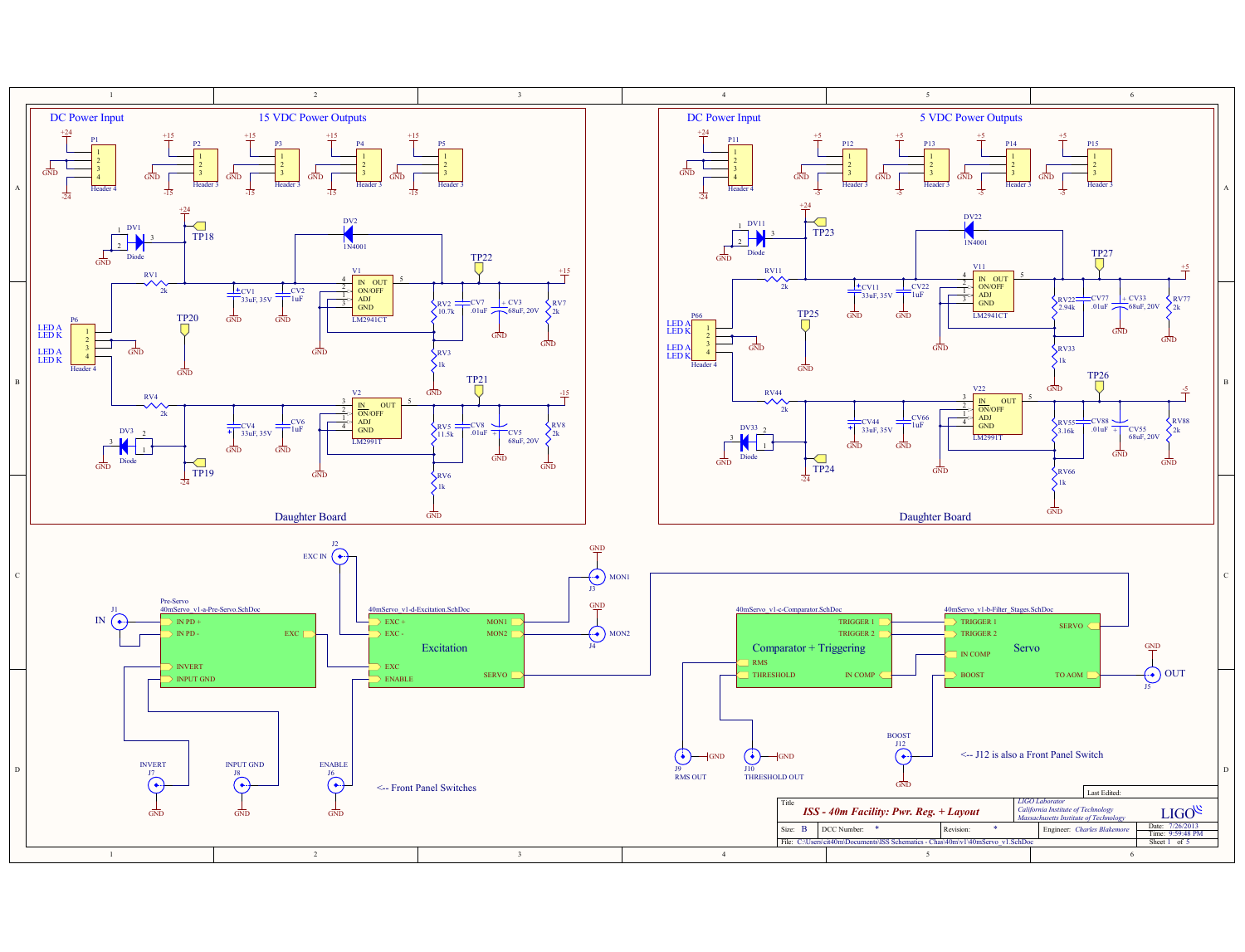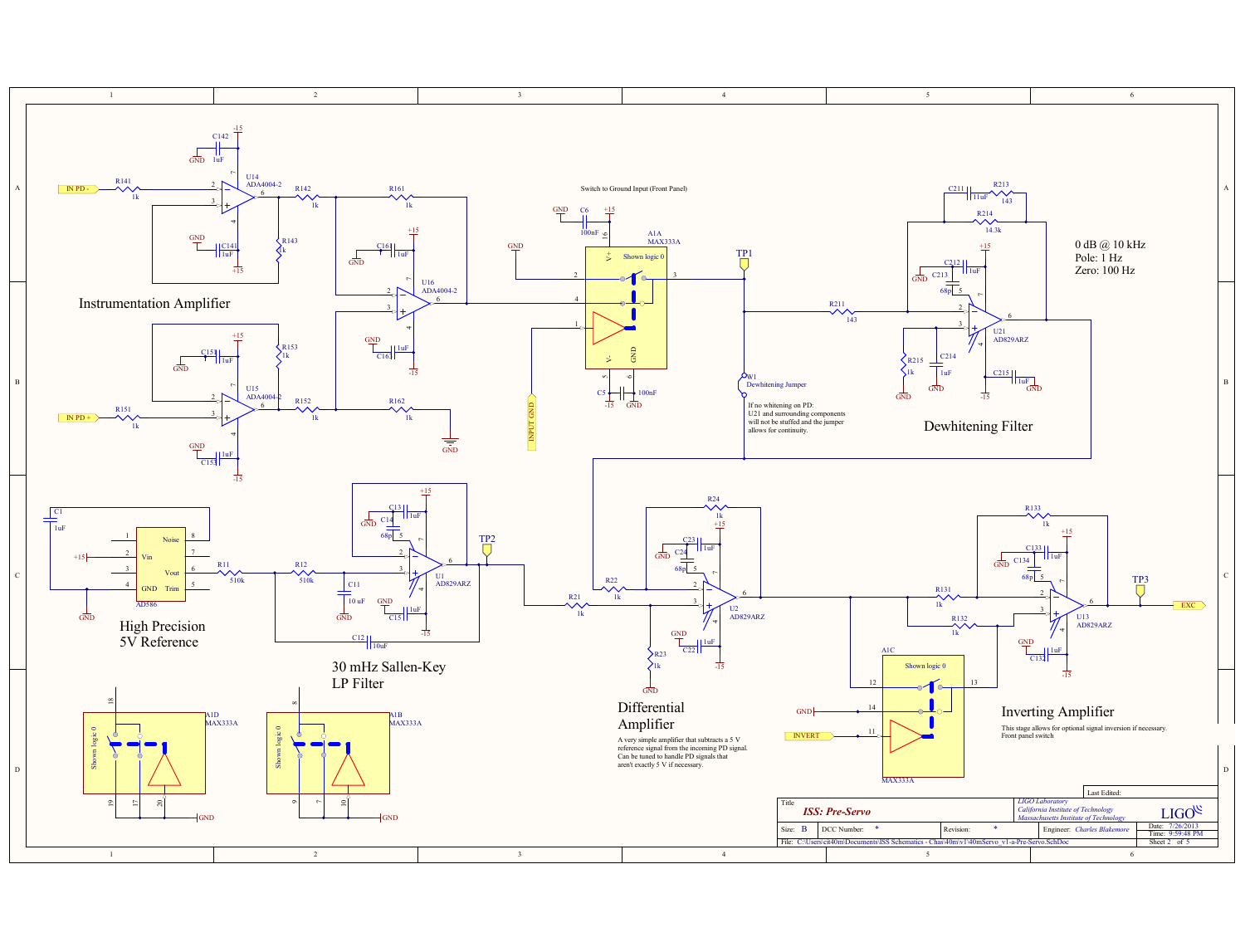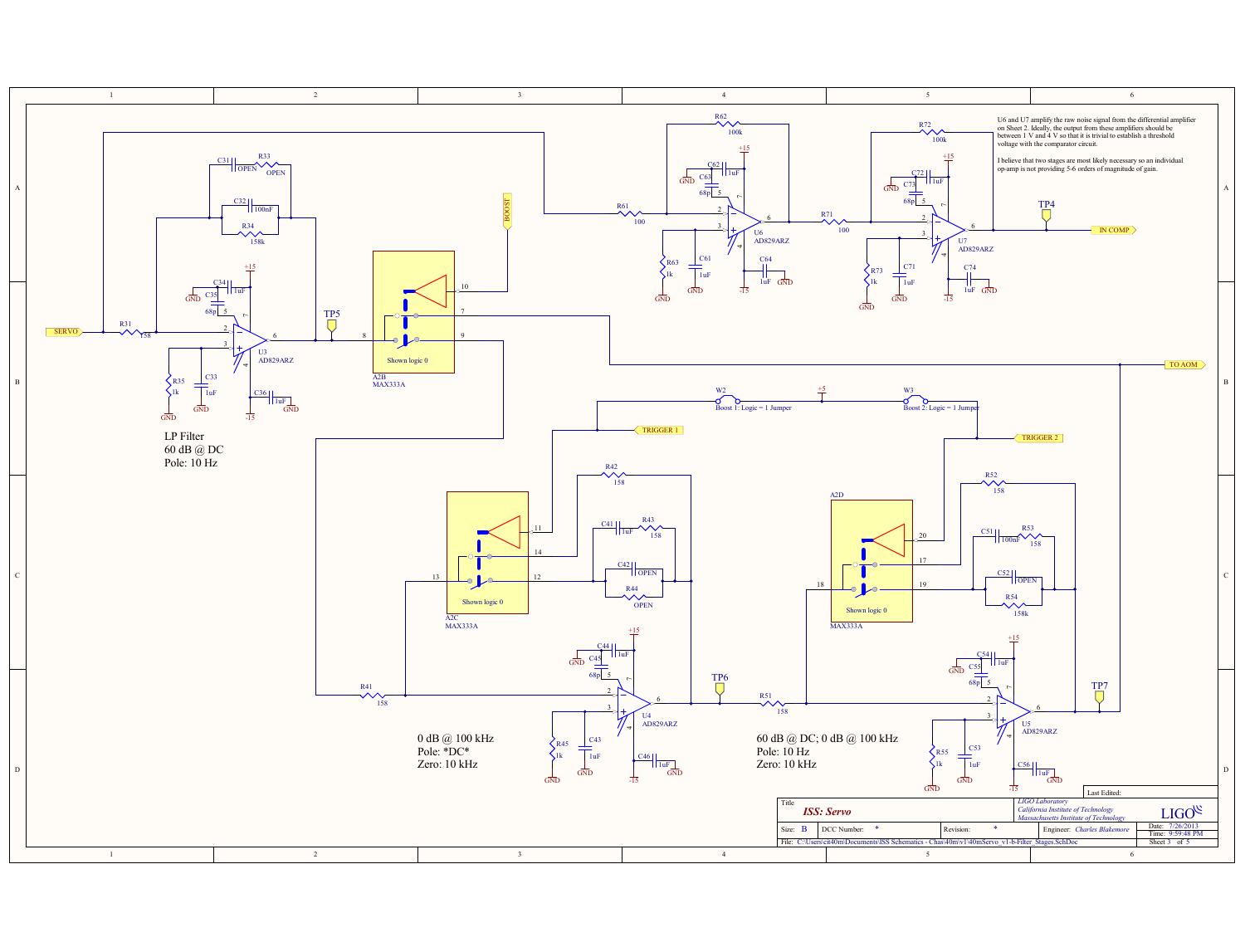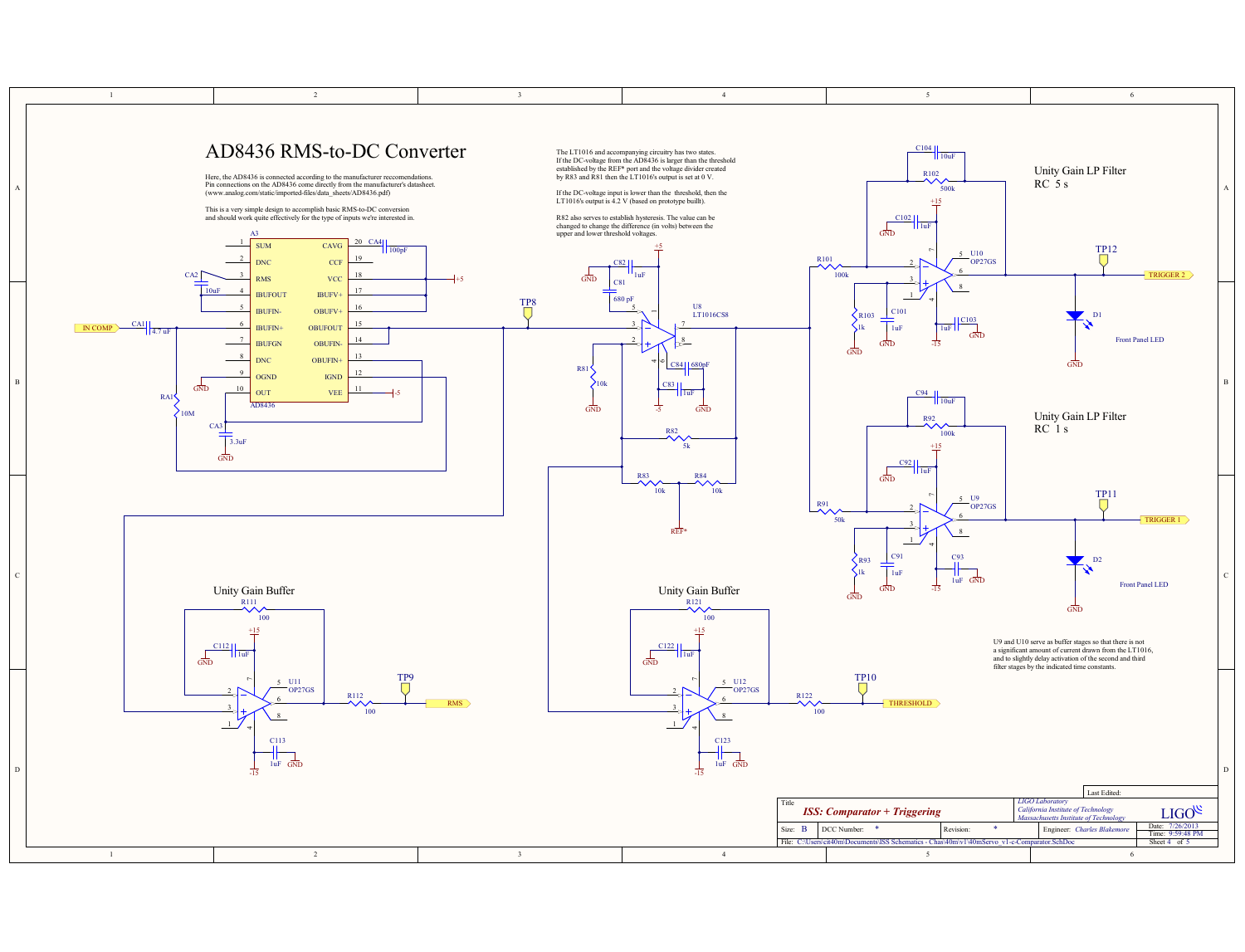